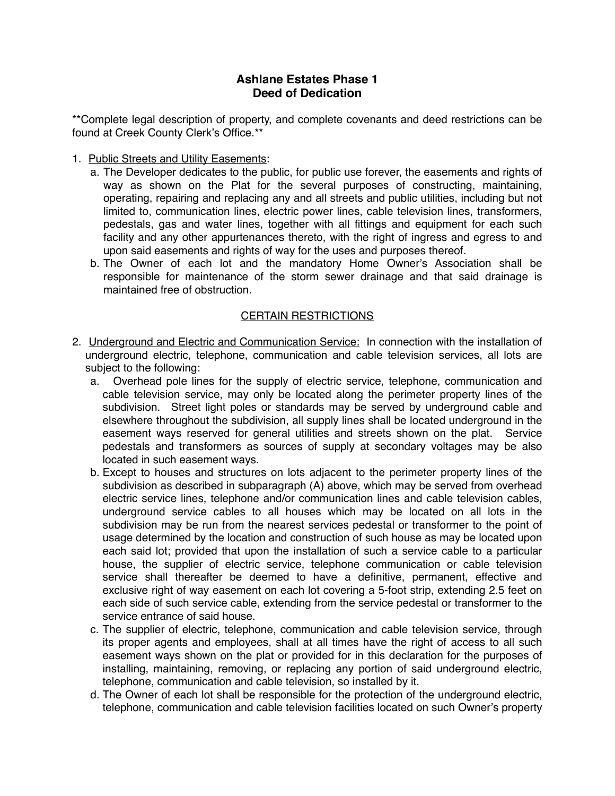## **Ashlane Estates Phase 1 Deed of Dedication**

\*\*Complete legal description of property, and complete covenants and deed restrictions can be found at Creek County Clerk's Office.\*\*

- 1. Public Streets and Utility Easements:
	- a. The Developer dedicates to the public, for public use forever, the easements and rights of way as shown on the Plat for the several purposes of constructing, maintaining, operating, repairing and replacing any and all streets and public utilities, including but not limited to, communication lines, electric power lines, cable television lines, transformers, pedestals, gas and water lines, together with all fittings and equipment for each such facility and any other appurtenances thereto, with the right of ingress and egress to and upon said easements and rights of way for the uses and purposes thereof.
	- b. The Owner of each lot and the mandatory Home Owner's Association shall be responsible for maintenance of the storm sewer drainage and that said drainage is maintained free of obstruction.

## CERTAIN RESTRICTIONS

- 2. Underground and Electric and Communication Service: In connection with the installation of underground electric, telephone, communication and cable television services, all lots are subject to the following:
	- a. Overhead pole lines for the supply of electric service, telephone, communication and cable television service, may only be located along the perimeter property lines of the subdivision. Street light poles or standards may be served by underground cable and elsewhere throughout the subdivision, all supply lines shall be located underground in the easement ways reserved for general utilities and streets shown on the plat. Service pedestals and transformers as sources of supply at secondary voltages may be also located in such easement ways.
	- b. Except to houses and structures on lots adjacent to the perimeter property lines of the subdivision as described in subparagraph (A) above, which may be served from overhead electric service lines, telephone and/or communication lines and cable television cables, underground service cables to all houses which may be located on all lots in the subdivision may be run from the nearest services pedestal or transformer to the point of usage determined by the location and construction of such house as may be located upon each said lot; provided that upon the installation of such a service cable to a particular house, the supplier of electric service, telephone communication or cable television service shall thereafter be deemed to have a definitive, permanent, effective and exclusive right of way easement on each lot covering a 5-foot strip, extending 2.5 feet on each side of such service cable, extending from the service pedestal or transformer to the service entrance of said house.
	- c. The supplier of electric, telephone, communication and cable television service, through its proper agents and employees, shall at all times have the right of access to all such easement ways shown on the plat or provided for in this declaration for the purposes of installing, maintaining, removing, or replacing any portion of said underground electric, telephone, communication and cable television, so installed by it.
	- d. The Owner of each lot shall be responsible for the protection of the underground electric, telephone, communication and cable television facilities located on such Owner's property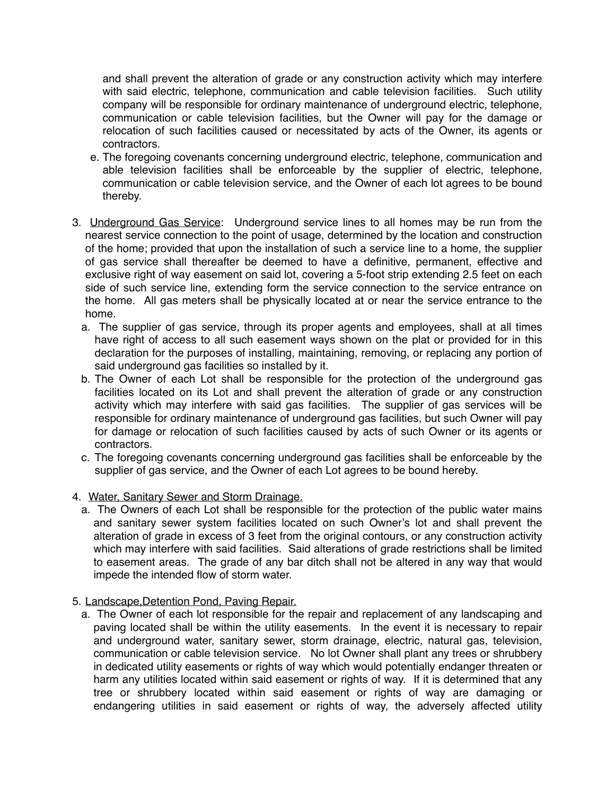and shall prevent the alteration of grade or any construction activity which may interfere with said electric, telephone, communication and cable television facilities. Such utility company will be responsible for ordinary maintenance of underground electric, telephone, communication or cable television facilities, but the Owner will pay for the damage or relocation of such facilities caused or necessitated by acts of the Owner, its agents or contractors.

- e. The foregoing covenants concerning underground electric, telephone, communication and able television facilities shall be enforceable by the supplier of electric, telephone, communication or cable television service, and the Owner of each lot agrees to be bound thereby.
- 3. Underground Gas Service: Underground service lines to all homes may be run from the nearest service connection to the point of usage, determined by the location and construction of the home; provided that upon the installation of such a service line to a home, the supplier of gas service shall thereafter be deemed to have a definitive, permanent, effective and exclusive right of way easement on said lot, covering a 5-foot strip extending 2.5 feet on each side of such service line, extending form the service connection to the service entrance on the home. All gas meters shall be physically located at or near the service entrance to the home.
	- a. The supplier of gas service, through its proper agents and employees, shall at all times have right of access to all such easement ways shown on the plat or provided for in this declaration for the purposes of installing, maintaining, removing, or replacing any portion of said underground gas facilities so installed by it.
	- b. The Owner of each Lot shall be responsible for the protection of the underground gas facilities located on its Lot and shall prevent the alteration of grade or any construction activity which may interfere with said gas facilities. The supplier of gas services will be responsible for ordinary maintenance of underground gas facilities, but such Owner will pay for damage or relocation of such facilities caused by acts of such Owner or its agents or contractors.
	- c. The foregoing covenants concerning underground gas facilities shall be enforceable by the supplier of gas service, and the Owner of each Lot agrees to be bound hereby.
- 4. Water, Sanitary Sewer and Storm Drainage.
	- a. The Owners of each Lot shall be responsible for the protection of the public water mains and sanitary sewer system facilities located on such Owner's lot and shall prevent the alteration of grade in excess of 3 feet from the original contours, or any construction activity which may interfere with said facilities. Said alterations of grade restrictions shall be limited to easement areas. The grade of any bar ditch shall not be altered in any way that would impede the intended flow of storm water.
- 5. Landscape,Detention Pond, Paving Repair.
	- a. The Owner of each lot responsible for the repair and replacement of any landscaping and paving located shall be within the utility easements. In the event it is necessary to repair and underground water, sanitary sewer, storm drainage, electric, natural gas, television, communication or cable television service. No lot Owner shall plant any trees or shrubbery in dedicated utility easements or rights of way which would potentially endanger threaten or harm any utilities located within said easement or rights of way. If it is determined that any tree or shrubbery located within said easement or rights of way are damaging or endangering utilities in said easement or rights of way, the adversely affected utility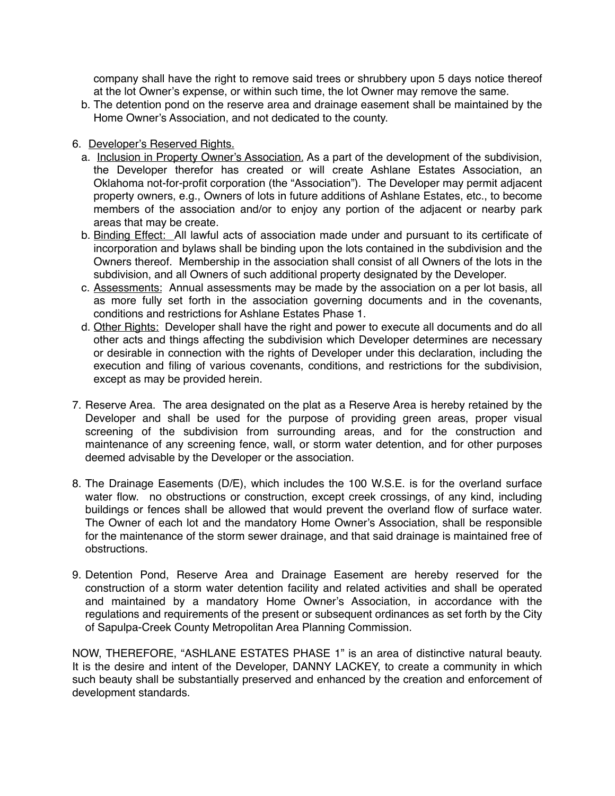company shall have the right to remove said trees or shrubbery upon 5 days notice thereof at the lot Owner's expense, or within such time, the lot Owner may remove the same.

- b. The detention pond on the reserve area and drainage easement shall be maintained by the Home Owner's Association, and not dedicated to the county.
- 6. Developer's Reserved Rights.
	- a. Inclusion in Property Owner's Association. As a part of the development of the subdivision, the Developer therefor has created or will create Ashlane Estates Association, an Oklahoma not-for-profit corporation (the "Association"). The Developer may permit adjacent property owners, e.g., Owners of lots in future additions of Ashlane Estates, etc., to become members of the association and/or to enjoy any portion of the adjacent or nearby park areas that may be create.
	- b. Binding Effect: All lawful acts of association made under and pursuant to its certificate of incorporation and bylaws shall be binding upon the lots contained in the subdivision and the Owners thereof. Membership in the association shall consist of all Owners of the lots in the subdivision, and all Owners of such additional property designated by the Developer.
	- c. Assessments: Annual assessments may be made by the association on a per lot basis, all as more fully set forth in the association governing documents and in the covenants, conditions and restrictions for Ashlane Estates Phase 1.
	- d. Other Rights: Developer shall have the right and power to execute all documents and do all other acts and things affecting the subdivision which Developer determines are necessary or desirable in connection with the rights of Developer under this declaration, including the execution and filing of various covenants, conditions, and restrictions for the subdivision, except as may be provided herein.
- 7. Reserve Area. The area designated on the plat as a Reserve Area is hereby retained by the Developer and shall be used for the purpose of providing green areas, proper visual screening of the subdivision from surrounding areas, and for the construction and maintenance of any screening fence, wall, or storm water detention, and for other purposes deemed advisable by the Developer or the association.
- 8. The Drainage Easements (D/E), which includes the 100 W.S.E. is for the overland surface water flow. no obstructions or construction, except creek crossings, of any kind, including buildings or fences shall be allowed that would prevent the overland flow of surface water. The Owner of each lot and the mandatory Home Owner's Association, shall be responsible for the maintenance of the storm sewer drainage, and that said drainage is maintained free of obstructions.
- 9. Detention Pond, Reserve Area and Drainage Easement are hereby reserved for the construction of a storm water detention facility and related activities and shall be operated and maintained by a mandatory Home Owner's Association, in accordance with the regulations and requirements of the present or subsequent ordinances as set forth by the City of Sapulpa-Creek County Metropolitan Area Planning Commission.

NOW, THEREFORE, "ASHLANE ESTATES PHASE 1" is an area of distinctive natural beauty. It is the desire and intent of the Developer, DANNY LACKEY, to create a community in which such beauty shall be substantially preserved and enhanced by the creation and enforcement of development standards.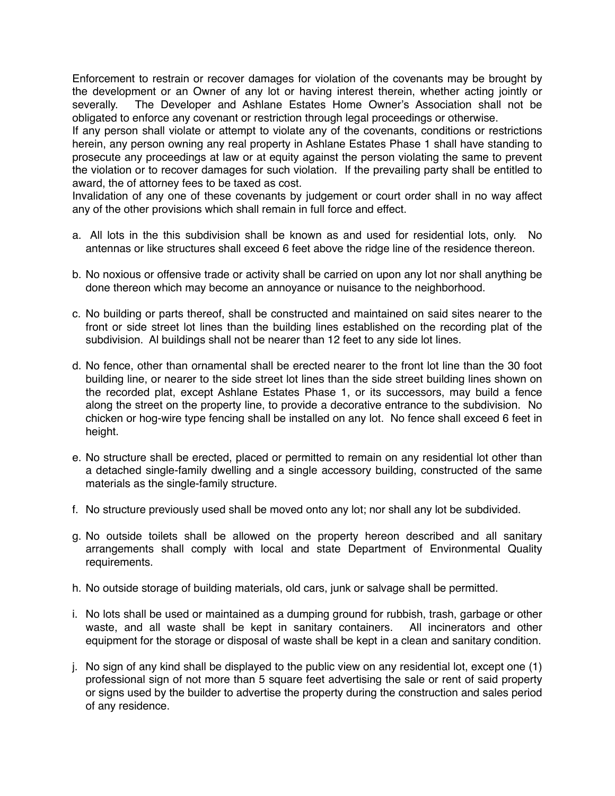Enforcement to restrain or recover damages for violation of the covenants may be brought by the development or an Owner of any lot or having interest therein, whether acting jointly or severally. The Developer and Ashlane Estates Home Owner's Association shall not be obligated to enforce any covenant or restriction through legal proceedings or otherwise.

If any person shall violate or attempt to violate any of the covenants, conditions or restrictions herein, any person owning any real property in Ashlane Estates Phase 1 shall have standing to prosecute any proceedings at law or at equity against the person violating the same to prevent the violation or to recover damages for such violation. If the prevailing party shall be entitled to award, the of attorney fees to be taxed as cost.

Invalidation of any one of these covenants by judgement or court order shall in no way affect any of the other provisions which shall remain in full force and effect.

- a. All lots in the this subdivision shall be known as and used for residential lots, only. No antennas or like structures shall exceed 6 feet above the ridge line of the residence thereon.
- b. No noxious or offensive trade or activity shall be carried on upon any lot nor shall anything be done thereon which may become an annoyance or nuisance to the neighborhood.
- c. No building or parts thereof, shall be constructed and maintained on said sites nearer to the front or side street lot lines than the building lines established on the recording plat of the subdivision. Al buildings shall not be nearer than 12 feet to any side lot lines.
- d. No fence, other than ornamental shall be erected nearer to the front lot line than the 30 foot building line, or nearer to the side street lot lines than the side street building lines shown on the recorded plat, except Ashlane Estates Phase 1, or its successors, may build a fence along the street on the property line, to provide a decorative entrance to the subdivision. No chicken or hog-wire type fencing shall be installed on any lot. No fence shall exceed 6 feet in height.
- e. No structure shall be erected, placed or permitted to remain on any residential lot other than a detached single-family dwelling and a single accessory building, constructed of the same materials as the single-family structure.
- f. No structure previously used shall be moved onto any lot; nor shall any lot be subdivided.
- g. No outside toilets shall be allowed on the property hereon described and all sanitary arrangements shall comply with local and state Department of Environmental Quality requirements.
- h. No outside storage of building materials, old cars, junk or salvage shall be permitted.
- i. No lots shall be used or maintained as a dumping ground for rubbish, trash, garbage or other waste, and all waste shall be kept in sanitary containers. All incinerators and other equipment for the storage or disposal of waste shall be kept in a clean and sanitary condition.
- j. No sign of any kind shall be displayed to the public view on any residential lot, except one (1) professional sign of not more than 5 square feet advertising the sale or rent of said property or signs used by the builder to advertise the property during the construction and sales period of any residence.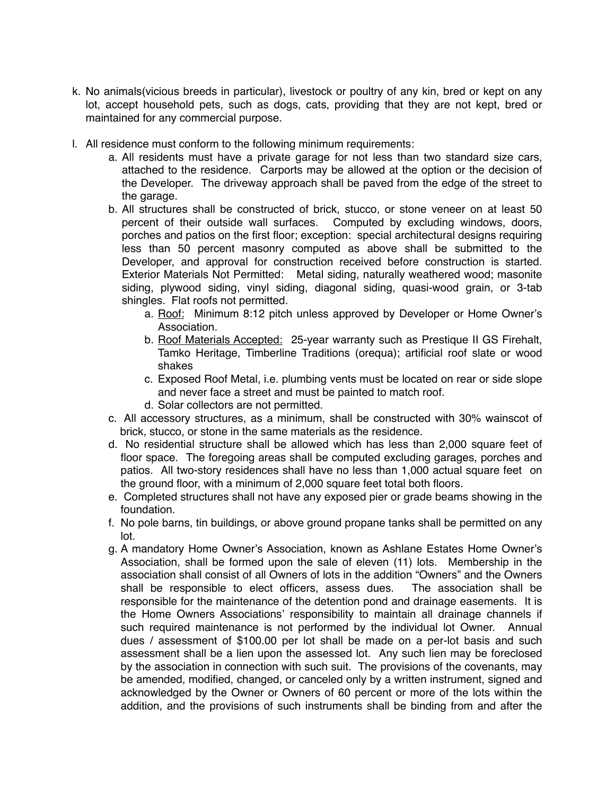- k. No animals(vicious breeds in particular), livestock or poultry of any kin, bred or kept on any lot, accept household pets, such as dogs, cats, providing that they are not kept, bred or maintained for any commercial purpose.
- l. All residence must conform to the following minimum requirements:
	- a. All residents must have a private garage for not less than two standard size cars, attached to the residence. Carports may be allowed at the option or the decision of the Developer. The driveway approach shall be paved from the edge of the street to the garage.
	- b. All structures shall be constructed of brick, stucco, or stone veneer on at least 50 percent of their outside wall surfaces. Computed by excluding windows, doors, porches and patios on the first floor; exception: special architectural designs requiring less than 50 percent masonry computed as above shall be submitted to the Developer, and approval for construction received before construction is started. Exterior Materials Not Permitted: Metal siding, naturally weathered wood; masonite siding, plywood siding, vinyl siding, diagonal siding, quasi-wood grain, or 3-tab shingles. Flat roofs not permitted.
		- a. Roof: Minimum 8:12 pitch unless approved by Developer or Home Owner's Association.
		- b. Roof Materials Accepted: 25-year warranty such as Prestique II GS Firehalt, Tamko Heritage, Timberline Traditions (orequa); artificial roof slate or wood shakes
		- c. Exposed Roof Metal, i.e. plumbing vents must be located on rear or side slope and never face a street and must be painted to match roof.
		- d. Solar collectors are not permitted.
	- c. All accessory structures, as a minimum, shall be constructed with 30% wainscot of brick, stucco, or stone in the same materials as the residence.
	- d. No residential structure shall be allowed which has less than 2,000 square feet of floor space. The foregoing areas shall be computed excluding garages, porches and patios. All two-story residences shall have no less than 1,000 actual square feet on the ground floor, with a minimum of 2,000 square feet total both floors.
	- e. Completed structures shall not have any exposed pier or grade beams showing in the foundation.
	- f. No pole barns, tin buildings, or above ground propane tanks shall be permitted on any lot.
	- g. A mandatory Home Owner's Association, known as Ashlane Estates Home Owner's Association, shall be formed upon the sale of eleven (11) lots. Membership in the association shall consist of all Owners of lots in the addition "Owners" and the Owners shall be responsible to elect officers, assess dues. The association shall be responsible for the maintenance of the detention pond and drainage easements. It is the Home Owners Associations' responsibility to maintain all drainage channels if such required maintenance is not performed by the individual lot Owner. Annual dues / assessment of \$100.00 per lot shall be made on a per-lot basis and such assessment shall be a lien upon the assessed lot. Any such lien may be foreclosed by the association in connection with such suit. The provisions of the covenants, may be amended, modified, changed, or canceled only by a written instrument, signed and acknowledged by the Owner or Owners of 60 percent or more of the lots within the addition, and the provisions of such instruments shall be binding from and after the